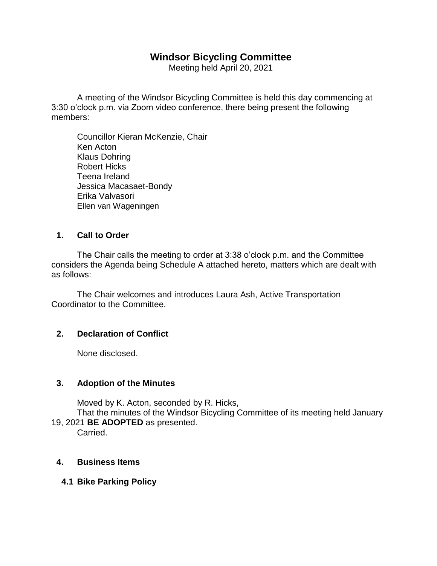# **Windsor Bicycling Committee**

Meeting held April 20, 2021

A meeting of the Windsor Bicycling Committee is held this day commencing at 3:30 o'clock p.m. via Zoom video conference, there being present the following members:

Councillor Kieran McKenzie, Chair Ken Acton Klaus Dohring Robert Hicks Teena Ireland Jessica Macasaet-Bondy Erika Valvasori Ellen van Wageningen

### **1. Call to Order**

The Chair calls the meeting to order at 3:38 o'clock p.m. and the Committee considers the Agenda being Schedule A attached hereto, matters which are dealt with as follows:

The Chair welcomes and introduces Laura Ash, Active Transportation Coordinator to the Committee.

## **2. Declaration of Conflict**

None disclosed.

## **3. Adoption of the Minutes**

Moved by K. Acton, seconded by R. Hicks,

That the minutes of the Windsor Bicycling Committee of its meeting held January 19, 2021 **BE ADOPTED** as presented.

Carried.

## **4. Business Items**

## **4.1 Bike Parking Policy**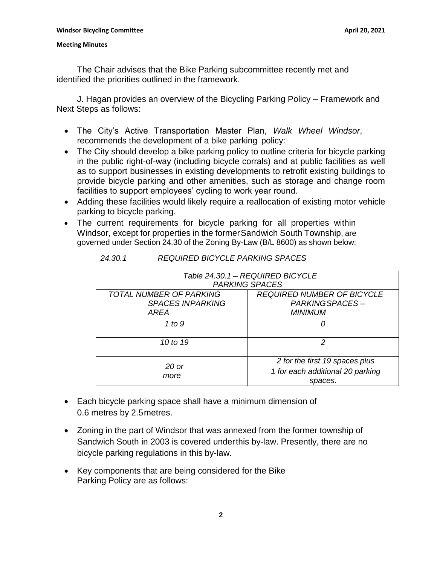The Chair advises that the Bike Parking subcommittee recently met and identified the priorities outlined in the framework.

J. Hagan provides an overview of the Bicycling Parking Policy – Framework and Next Steps as follows:

- The City's Active Transportation Master Plan, *Walk Wheel Windsor*, recommends the development of a bike parking policy:
- The City should develop a bike parking policy to outline criteria for bicycle parking in the public right-of-way (including bicycle corrals) and at public facilities as well as to support businesses in existing developments to retrofit existing buildings to provide bicycle parking and other amenities, such as storage and change room facilities to support employees' cycling to work year round.
- Adding these facilities would likely require a reallocation of existing motor vehicle parking to bicycle parking.
- The current requirements for bicycle parking for all properties within Windsor, except for properties in the formerSandwich South Township, are governed under Section 24.30 of the Zoning By-Law (B/L 8600) as shown below:

| Table 24.30.1 - REQUIRED BICYCLE<br><b>PARKING SPACES</b>         |                                                                               |
|-------------------------------------------------------------------|-------------------------------------------------------------------------------|
| <b>TOTAL NUMBER OF PARKING</b><br><b>SPACES INPARKING</b><br>ARFA | <b>REQUIRED NUMBER OF BICYCLE</b><br>PARKING SPACES-<br><b>MINIMUM</b>        |
| 1 to 9                                                            | O)                                                                            |
| 10 to 19                                                          | 2                                                                             |
| 20 or<br>more                                                     | 2 for the first 19 spaces plus<br>1 for each additional 20 parking<br>spaces. |

- Each bicycle parking space shall have a minimum dimension of 0.6 metres by 2.5metres.
- Zoning in the part of Windsor that was annexed from the former township of Sandwich South in 2003 is covered underthis by-law. Presently, there are no bicycle parking regulations in this by-law.
- Key components that are being considered for the Bike Parking Policy are as follows: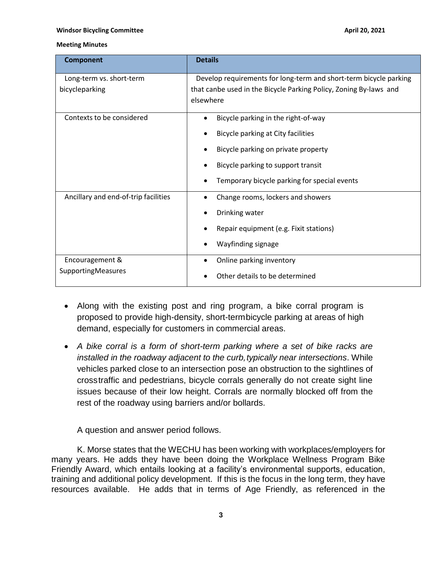#### **Windsor Bicycling Committee** *April 20, 2021* **<b>April 20, 2021**

#### **Meeting Minutes**

| <b>Component</b>                             | <b>Details</b>                                                    |
|----------------------------------------------|-------------------------------------------------------------------|
| Long-term vs. short-term                     | Develop requirements for long-term and short-term bicycle parking |
| bicycleparking                               | that canbe used in the Bicycle Parking Policy, Zoning By-laws and |
|                                              | elsewhere                                                         |
| Contexts to be considered                    | Bicycle parking in the right-of-way                               |
|                                              | Bicycle parking at City facilities                                |
|                                              | Bicycle parking on private property                               |
|                                              | Bicycle parking to support transit                                |
|                                              | Temporary bicycle parking for special events                      |
| Ancillary and end-of-trip facilities         | Change rooms, lockers and showers                                 |
|                                              | Drinking water                                                    |
|                                              | Repair equipment (e.g. Fixit stations)                            |
|                                              | Wayfinding signage                                                |
| Encouragement &<br><b>SupportingMeasures</b> | Online parking inventory<br>$\bullet$                             |
|                                              | Other details to be determined                                    |

- Along with the existing post and ring program, a bike corral program is proposed to provide high-density, short-termbicycle parking at areas of high demand, especially for customers in commercial areas.
- *A bike corral is a form of short-term parking where a set of bike racks are installed in the roadway adjacent to the curb, typically near intersections.* While vehicles parked close to an intersection pose an obstruction to the sightlines of crosstraffic and pedestrians, bicycle corrals generally do not create sight line issues because of their low height. Corrals are normally blocked off from the rest of the roadway using barriers and/or bollards.

A question and answer period follows.

K. Morse states that the WECHU has been working with workplaces/employers for many years. He adds they have been doing the Workplace Wellness Program Bike Friendly Award, which entails looking at a facility's environmental supports, education, training and additional policy development. If this is the focus in the long term, they have resources available. He adds that in terms of Age Friendly, as referenced in the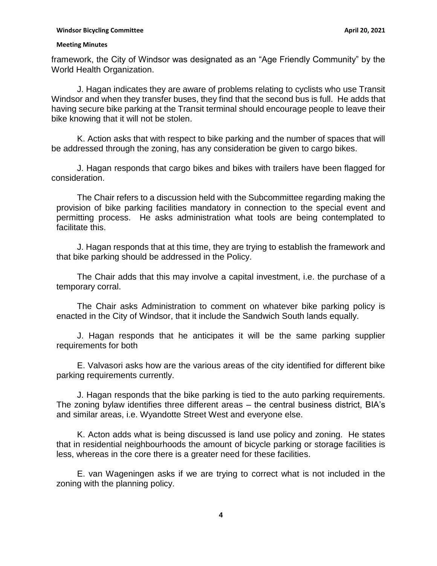framework, the City of Windsor was designated as an "Age Friendly Community" by the World Health Organization.

J. Hagan indicates they are aware of problems relating to cyclists who use Transit Windsor and when they transfer buses, they find that the second bus is full. He adds that having secure bike parking at the Transit terminal should encourage people to leave their bike knowing that it will not be stolen.

K. Action asks that with respect to bike parking and the number of spaces that will be addressed through the zoning, has any consideration be given to cargo bikes.

J. Hagan responds that cargo bikes and bikes with trailers have been flagged for consideration.

The Chair refers to a discussion held with the Subcommittee regarding making the provision of bike parking facilities mandatory in connection to the special event and permitting process. He asks administration what tools are being contemplated to facilitate this.

J. Hagan responds that at this time, they are trying to establish the framework and that bike parking should be addressed in the Policy.

The Chair adds that this may involve a capital investment, i.e. the purchase of a temporary corral.

The Chair asks Administration to comment on whatever bike parking policy is enacted in the City of Windsor, that it include the Sandwich South lands equally.

J. Hagan responds that he anticipates it will be the same parking supplier requirements for both

E. Valvasori asks how are the various areas of the city identified for different bike parking requirements currently.

J. Hagan responds that the bike parking is tied to the auto parking requirements. The zoning bylaw identifies three different areas – the central business district, BIA's and similar areas, i.e. Wyandotte Street West and everyone else.

K. Acton adds what is being discussed is land use policy and zoning. He states that in residential neighbourhoods the amount of bicycle parking or storage facilities is less, whereas in the core there is a greater need for these facilities.

E. van Wageningen asks if we are trying to correct what is not included in the zoning with the planning policy.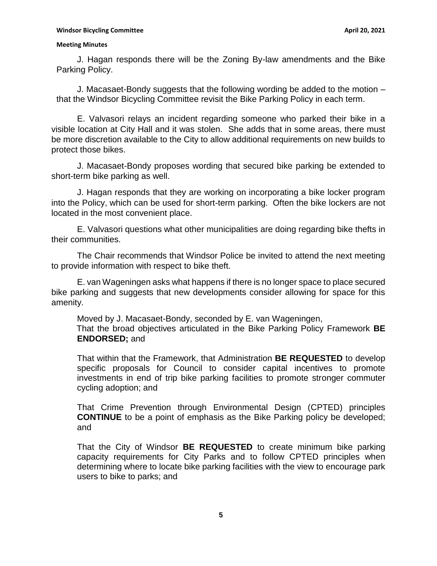J. Hagan responds there will be the Zoning By-law amendments and the Bike Parking Policy.

J. Macasaet-Bondy suggests that the following wording be added to the motion – that the Windsor Bicycling Committee revisit the Bike Parking Policy in each term.

E. Valvasori relays an incident regarding someone who parked their bike in a visible location at City Hall and it was stolen. She adds that in some areas, there must be more discretion available to the City to allow additional requirements on new builds to protect those bikes.

J. Macasaet-Bondy proposes wording that secured bike parking be extended to short-term bike parking as well.

J. Hagan responds that they are working on incorporating a bike locker program into the Policy, which can be used for short-term parking. Often the bike lockers are not located in the most convenient place.

E. Valvasori questions what other municipalities are doing regarding bike thefts in their communities.

The Chair recommends that Windsor Police be invited to attend the next meeting to provide information with respect to bike theft.

E. van Wageningen asks what happens if there is no longer space to place secured bike parking and suggests that new developments consider allowing for space for this amenity.

Moved by J. Macasaet-Bondy, seconded by E. van Wageningen, That the broad objectives articulated in the Bike Parking Policy Framework **BE ENDORSED;** and

That within that the Framework, that Administration **BE REQUESTED** to develop specific proposals for Council to consider capital incentives to promote investments in end of trip bike parking facilities to promote stronger commuter cycling adoption; and

That Crime Prevention through Environmental Design (CPTED) principles **CONTINUE** to be a point of emphasis as the Bike Parking policy be developed; and

That the City of Windsor **BE REQUESTED** to create minimum bike parking capacity requirements for City Parks and to follow CPTED principles when determining where to locate bike parking facilities with the view to encourage park users to bike to parks; and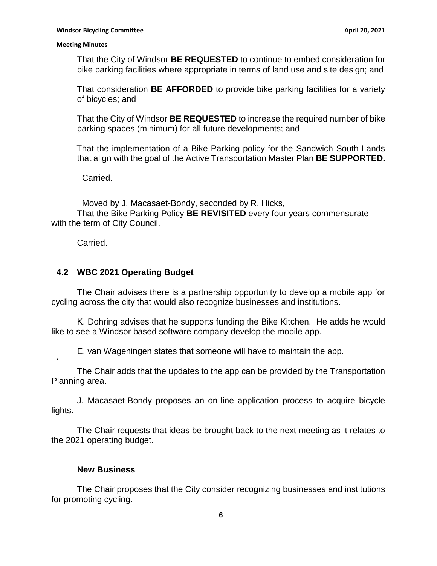That the City of Windsor **BE REQUESTED** to continue to embed consideration for bike parking facilities where appropriate in terms of land use and site design; and

That consideration **BE AFFORDED** to provide bike parking facilities for a variety of bicycles; and

That the City of Windsor **BE REQUESTED** to increase the required number of bike parking spaces (minimum) for all future developments; and

That the implementation of a Bike Parking policy for the Sandwich South Lands that align with the goal of the Active Transportation Master Plan **BE SUPPORTED.**

Carried.

Moved by J. Macasaet-Bondy, seconded by R. Hicks,

That the Bike Parking Policy **BE REVISITED** every four years commensurate with the term of City Council.

Carried.

 $\mathbf{r}$ 

## **4.2 WBC 2021 Operating Budget**

The Chair advises there is a partnership opportunity to develop a mobile app for cycling across the city that would also recognize businesses and institutions.

K. Dohring advises that he supports funding the Bike Kitchen. He adds he would like to see a Windsor based software company develop the mobile app.

E. van Wageningen states that someone will have to maintain the app.

The Chair adds that the updates to the app can be provided by the Transportation Planning area.

J. Macasaet-Bondy proposes an on-line application process to acquire bicycle lights.

The Chair requests that ideas be brought back to the next meeting as it relates to the 2021 operating budget.

### **New Business**

The Chair proposes that the City consider recognizing businesses and institutions for promoting cycling.